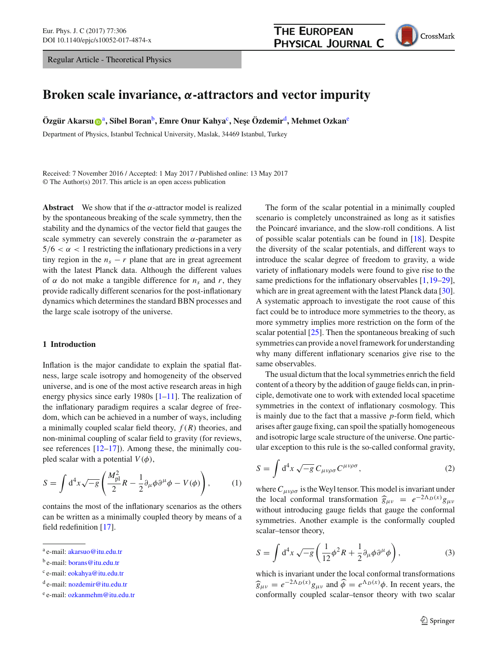Regular Article - Theoretical Physics



# **Broken scale invariance,** *α***-attractors and vector impurity**

**Özgür Ak[a](http://orcid.org/0000-0001-6917-6176)rsu@**<sup>a</sup>, Sibel Boran<sup>b</sup>, Emre Onur Kahya<sup>c</sup>, Nese Özdemir<sup>d</sup>, Mehmet Ozkan<sup>e</sup>

Department of Physics, Istanbul Technical University, Maslak, 34469 Istanbul, Turkey

Received: 7 November 2016 / Accepted: 1 May 2017 / Published online: 13 May 2017 © The Author(s) 2017. This article is an open access publication

**Abstract** We show that if the  $\alpha$ -attractor model is realized by the spontaneous breaking of the scale symmetry, then the stability and the dynamics of the vector field that gauges the scale symmetry can severely constrain the  $\alpha$ -parameter as  $5/6 < \alpha < 1$  restricting the inflationary predictions in a very tiny region in the  $n_s - r$  plane that are in great agreement with the latest Planck data. Although the different values of  $\alpha$  do not make a tangible difference for  $n_s$  and r, they provide radically different scenarios for the post-inflationary dynamics which determines the standard BBN processes and the large scale isotropy of the universe.

# **1 Introduction**

Inflation is the major candidate to explain the spatial flatness, large scale isotropy and homogeneity of the observed universe, and is one of the most active research areas in high energy physics since early 1980s [\[1](#page-8-0)[–11](#page-8-1)]. The realization of the inflationary paradigm requires a scalar degree of freedom, which can be achieved in a number of ways, including a minimally coupled scalar field theory,  $f(R)$  theories, and non-minimal coupling of scalar field to gravity (for reviews, see references  $[12-17]$  $[12-17]$ . Among these, the minimally coupled scalar with a potential  $V(\phi)$ ,

$$
S = \int d^4x \sqrt{-g} \left( \frac{M_{\rm pl}^2}{2} R - \frac{1}{2} \partial_\mu \phi \partial^\mu \phi - V(\phi) \right), \tag{1}
$$

contains the most of the inflationary scenarios as the others can be written as a minimally coupled theory by means of a field redefinition [\[17\]](#page-8-3).

The form of the scalar potential in a minimally coupled scenario is completely unconstrained as long as it satisfies the Poincaré invariance, and the slow-roll conditions. A list of possible scalar potentials can be found in [\[18\]](#page-8-4). Despite the diversity of the scalar potentials, and different ways to introduce the scalar degree of freedom to gravity, a wide variety of inflationary models were found to give rise to the same predictions for the inflationary observables  $[1,19-29]$  $[1,19-29]$  $[1,19-29]$  $[1,19-29]$ , which are in great agreement with the latest Planck data [\[30](#page-8-7)]. A systematic approach to investigate the root cause of this fact could be to introduce more symmetries to the theory, as more symmetry implies more restriction on the form of the scalar potential  $[25]$ . Then the spontaneous breaking of such symmetries can provide a novel framework for understanding why many different inflationary scenarios give rise to the same observables.

The usual dictum that the local symmetries enrich the field content of a theory by the addition of gauge fields can, in principle, demotivate one to work with extended local spacetime symmetries in the context of inflationary cosmology. This is mainly due to the fact that a massive *p*-form field, which arises after gauge fixing, can spoil the spatially homogeneous and isotropic large scale structure of the universe. One particular exception to this rule is the so-called conformal gravity,

$$
S = \int d^4x \sqrt{-g} C_{\mu\nu\rho\sigma} C^{\mu\nu\rho\sigma}, \qquad (2)
$$

where  $C_{\mu\nu\rho\sigma}$  is the Weyl tensor. This model is invariant under the local conformal transformation  $\hat{g}_{\mu\nu} = e^{-2\Lambda_D(x)} g_{\mu\nu}$ <br>without introducing gauge fields that gauge the conformal without introducing gauge fields that gauge the conformal symmetries. Another example is the conformally coupled scalar–tensor theory,

$$
S = \int d^4x \sqrt{-g} \left( \frac{1}{12} \phi^2 R + \frac{1}{2} \partial_\mu \phi \partial^\mu \phi \right), \tag{3}
$$

which is invariant under the local conformal transformations  $\hat{g}_{\mu\nu} = e^{-2\Lambda_D(x)} g_{\mu\nu}$  and  $\hat{\phi} = e^{\Lambda_D(x)} \phi$ . In recent years, the conformally coupled scalar–tensor theory with two scalar

<sup>a</sup> e-mail: [akarsuo@itu.edu.tr](mailto:akarsuo@itu.edu.tr)

<sup>b</sup> e-mail: [borans@itu.edu.tr](mailto:borans@itu.edu.tr)

<sup>c</sup> e-mail: [eokahya@itu.edu.tr](mailto:eokahya@itu.edu.tr)

<sup>d</sup> e-mail: [nozdemir@itu.edu.tr](mailto:nozdemir@itu.edu.tr)

<sup>e</sup> e-mail: [ozkanmehm@itu.edu.tr](mailto:ozkanmehm@itu.edu.tr)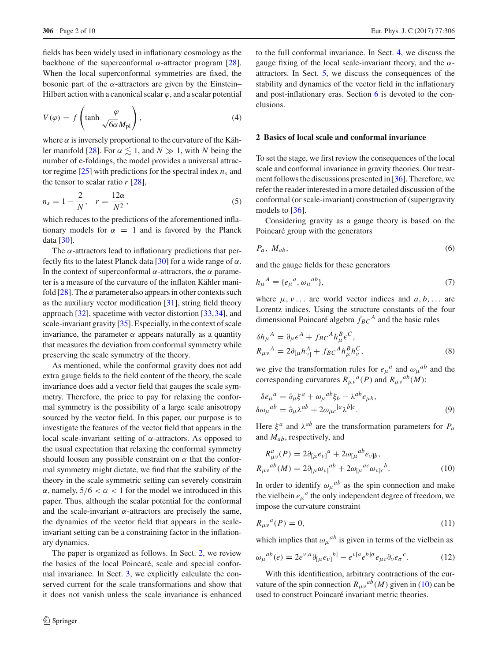fields has been widely used in inflationary cosmology as the backbone of the superconformal  $\alpha$ -attractor program [\[28](#page-8-9)]. When the local superconformal symmetries are fixed, the bosonic part of the  $\alpha$ -attractors are given by the Einstein– Hilbert action with a canonical scalar  $\varphi$ , and a scalar potential

$$
V(\varphi) = f\left(\tanh\frac{\varphi}{\sqrt{6\alpha}M_{\text{pl}}}\right),\tag{4}
$$

where  $\alpha$  is inversely proportional to the curvature of the Käh-ler manifold [\[28\]](#page-8-9). For  $\alpha \lesssim 1$ , and  $N \gg 1$ , with N being the number of e-foldings, the model provides a universal attractor regime  $[25]$  with predictions for the spectral index  $n_s$  and the tensor to scalar ratio  $r$  [\[28\]](#page-8-9),

$$
n_s = 1 - \frac{2}{N}, \quad r = \frac{12\alpha}{N^2},\tag{5}
$$

which reduces to the predictions of the aforementioned inflationary models for  $\alpha = 1$  and is favored by the Planck data [\[30](#page-8-7)].

The  $\alpha$ -attractors lead to inflationary predictions that per-fectly fits to the latest Planck data [\[30\]](#page-8-7) for a wide range of  $\alpha$ . In the context of superconformal  $\alpha$ -attractors, the  $\alpha$  parameter is a measure of the curvature of the inflaton Kähler manifold  $[28]$ . The  $\alpha$  parameter also appears in other contexts such as the auxiliary vector modification  $[31]$  $[31]$ , string field theory approach [\[32](#page-8-11)], spacetime with vector distortion [\[33,](#page-8-12)[34\]](#page-8-13), and scale-invariant gravity [\[35](#page-8-14)]. Especially, in the context of scale invariance, the parameter  $\alpha$  appears naturally as a quantity that measures the deviation from conformal symmetry while preserving the scale symmetry of the theory.

As mentioned, while the conformal gravity does not add extra gauge fields to the field content of the theory, the scale invariance does add a vector field that gauges the scale symmetry. Therefore, the price to pay for relaxing the conformal symmetry is the possibility of a large scale anisotropy sourced by the vector field. In this paper, our purpose is to investigate the features of the vector field that appears in the local scale-invariant setting of  $α$ -attractors. As opposed to the usual expectation that relaxing the conformal symmetry should loosen any possible constraint on  $\alpha$  that the conformal symmetry might dictate, we find that the stability of the theory in the scale symmetric setting can severely constrain  $\alpha$ , namely,  $5/6 < \alpha < 1$  for the model we introduced in this paper. Thus, although the scalar potential for the conformal and the scale-invariant  $\alpha$ -attractors are precisely the same, the dynamics of the vector field that appears in the scaleinvariant setting can be a constraining factor in the inflationary dynamics.

The paper is organized as follows. In Sect. [2,](#page-1-0) we review the basics of the local Poincaré, scale and special conformal invariance. In Sect. [3,](#page-3-0) we explicitly calculate the conserved current for the scale transformations and show that it does not vanish unless the scale invariance is enhanced to the full conformal invariance. In Sect. [4,](#page-4-0) we discuss the gauge fixing of the local scale-invariant theory, and the  $\alpha$ attractors. In Sect. [5,](#page-5-0) we discuss the consequences of the stability and dynamics of the vector field in the inflationary and post-inflationary eras. Section [6](#page-7-0) is devoted to the conclusions.

## <span id="page-1-0"></span>**2 Basics of local scale and conformal invariance**

To set the stage, we first review the consequences of the local scale and conformal invariance in gravity theories. Our treatment follows the discussions presented in [\[36\]](#page-8-15). Therefore, we refer the reader interested in a more detailed discussion of the conformal (or scale-invariant) construction of (super)gravity models to [\[36\]](#page-8-15).

Considering gravity as a gauge theory is based on the Poincaré group with the generators

$$
P_a, M_{ab}, \tag{6}
$$

and the gauge fields for these generators

$$
h_{\mu}{}^{A} \equiv \{e_{\mu}{}^{a}, \omega_{\mu}{}^{ab}\},\tag{7}
$$

where  $\mu, \nu$ ... are world vector indices and  $a, b, \ldots$  are Lorentz indices. Using the structure constants of the four dimensional Poincaré algebra  $f_{BC}^A$  and the basic rules

$$
\delta h_{\mu}{}^{A} = \partial_{\mu} \epsilon^{A} + f_{BC}{}^{A} h_{\mu}^{B} \epsilon^{C},
$$
  
\n
$$
R_{\mu\nu}{}^{A} = 2\partial_{[\mu} h_{\nu]}^{A} + f_{BC}{}^{A} h_{\mu}^{B} h_{\nu}^{C},
$$
\n(8)

we give the transformation rules for  $e_{\mu}{}^{a}$  and  $\omega_{\mu}{}^{ab}$  and the corresponding curvatures  $R_{\mu\nu}{}^a(P)$  and  $R_{\mu\nu}{}^{ab}(M)$ :

$$
\delta e_{\mu}{}^{a} = \partial_{\mu}\xi^{a} + \omega_{\mu}{}^{ab}\xi_{b} - \lambda^{ab}e_{\mu b},
$$
  
\n
$$
\delta \omega_{\mu}{}^{ab} = \partial_{\mu}\lambda^{ab} + 2\omega_{\mu c}{}^{[a}\lambda^{b]c}.
$$
\n(9)

Here  $\xi^a$  and  $\lambda^{ab}$  are the transformation parameters for  $P_a$ and *Mab*, respectively, and

<span id="page-1-1"></span>
$$
R_{\mu\nu}^a(P) = 2\partial_{[\mu}e_{\nu]}^a + 2\omega_{[\mu}^{ab}e_{\nu]b},
$$
  
\n
$$
R_{\mu\nu}^{ab}(M) = 2\partial_{[\mu}\omega_{\nu]}^{ab} + 2\omega_{[\mu}^{ac}\omega_{\nu]c}^b.
$$
\n(10)

In order to identify  $\omega_{\mu}{}^{ab}$  as the spin connection and make the vielbein  $e_{\mu}{}^{a}$  the only independent degree of freedom, we impose the curvature constraint

$$
R_{\mu\nu}{}^a(P) = 0,\t\t(11)
$$

which implies that  $\omega_{\mu}{}^{ab}$  is given in terms of the vielbein as

<span id="page-1-2"></span>
$$
\omega_{\mu}{}^{ab}(e) = 2e^{\nu[a} \partial_{[\mu} e_{\nu]}{}^{b]} - e^{\nu[a} e^{b] \sigma} e_{\mu c} \partial_{\nu} e_{\sigma}{}^{c}.
$$
 (12)

With this identification, arbitrary contractions of the curvature of the spin connection  $R_{\mu\nu}{}^{ab}(M)$  given in [\(10\)](#page-1-1) can be used to construct Poincaré invariant metric theories.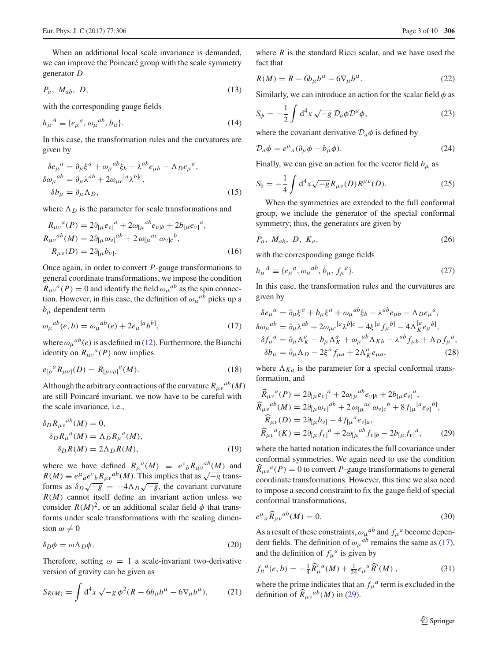When an additional local scale invariance is demanded, we can improve the Poincaré group with the scale symmetry generator *D*

$$
P_a, M_{ab}, D, \tag{13}
$$

with the corresponding gauge fields

$$
h_{\mu}{}^{A} \equiv \{e_{\mu}{}^{a}, \omega_{\mu}{}^{ab}, b_{\mu}\}.
$$
\n(14)

In this case, the transformation rules and the curvatures are given by

$$
\delta e_{\mu}{}^{a} = \partial_{\mu} \xi^{a} + \omega_{\mu}{}^{ab} \xi_{b} - \lambda^{ab} e_{\mu b} - \Lambda_{D} e_{\mu}{}^{a},
$$
  
\n
$$
\delta \omega_{\mu}{}^{ab} = \partial_{\mu} \lambda^{ab} + 2 \omega_{\mu c}{}^{[a} \lambda^{b]c},
$$
  
\n
$$
\delta b_{\mu} = \partial_{\mu} \Lambda_{D},
$$
\n(15)

where  $\Lambda_D$  is the parameter for scale transformations and

$$
R_{\mu\nu}{}^{a}(P) = 2\partial_{[\mu}e_{\nu]}{}^{a} + 2\omega_{[\mu}{}^{ab}e_{\nu]b} + 2b_{[\mu}e_{\nu]}{}^{a},
$$
  
\n
$$
R_{\mu\nu}{}^{ab}(M) = 2\partial_{[\mu}\omega_{\nu]}{}^{ab} + 2\omega_{[\mu}{}^{ac}\omega_{\nu]c}{}^{b},
$$
  
\n
$$
R_{\mu\nu}(D) = 2\partial_{[\mu}b_{\nu]}.
$$
\n(16)

Once again, in order to convert *P*-gauge transformations to general coordinate transformations, we impose the condition  $R_{\mu\nu}{}^a(P) = 0$  and identify the field  $\omega_{\mu}{}^{ab}$  as the spin connection. However, in this case, the definition of  $\omega_{\mu}{}^{ab}$  picks up a *b*<sup>μ</sup> dependent term

<span id="page-2-0"></span>
$$
\omega_{\mu}{}^{ab}(e,b) = \omega_{\mu}{}^{ab}(e) + 2e_{\mu}{}^{[a}b^{b]}, \tag{17}
$$

where  $\omega_{\mu}{}^{ab}(e)$  is as defined in [\(12\)](#page-1-2). Furthermore, the Bianchi identity on  $R_{\mu\nu}^a(P)$  now implies

$$
e_{[\rho}{}^{a}R_{\mu\nu]}(D) = R_{[\mu\nu\rho]}{}^{a}(M). \tag{18}
$$

Although the arbitrary contractions of the curvature  $R_{\mu\nu}{}^{ab}(M)$ are still Poincaré invariant, we now have to be careful with the scale invariance, i.e.,

$$
\delta_D R_{\mu\nu}{}^{ab}(M) = 0,
$$
  
\n
$$
\delta_D R_{\mu}{}^{a}(M) = \Lambda_D R_{\mu}{}^{a}(M),
$$
  
\n
$$
\delta_D R(M) = 2\Lambda_D R(M),
$$
\n(19)

where we have defined  $R_{\mu}^{a}(M) \equiv e^{\nu}{}_{b}R_{\mu\nu}^{ab}(M)$  and  $R(M) \equiv e^{\mu}{}_{a}e^{\nu}{}_{b}R_{\mu\nu}{}^{ab}(M)$ . This implies that as  $\sqrt{-g}$  transforms as  $\delta_D \sqrt{-g}$  =  $-4\Lambda_D \sqrt{-g}$ , the covariant curvature *R*(*M*) cannot itself define an invariant action unless we consider  $R(M)^2$ , or an additional scalar field  $\phi$  that transforms under scale transformations with the scaling dimension  $\omega \neq 0$ 

$$
\delta_D \phi = \omega \Lambda_D \phi. \tag{20}
$$

Therefore, setting  $\omega = 1$  a scale-invariant two-derivative version of gravity can be given as

<span id="page-2-4"></span>
$$
S_{R(M)} = \int d^4x \sqrt{-g} \phi^2 (R - 6b_\mu b^\mu - 6\nabla_\mu b^\mu), \qquad (21)
$$

where *R* is the standard Ricci scalar, and we have used the fact that

$$
R(M) = R - 6b_{\mu}b^{\mu} - 6\nabla_{\mu}b^{\mu}.
$$
 (22)

Similarly, we can introduce an action for the scalar field  $\phi$  as

<span id="page-2-3"></span>
$$
S_{\phi} = -\frac{1}{2} \int d^4x \sqrt{-g} \mathcal{D}_a \phi \mathcal{D}^a \phi, \qquad (23)
$$

where the covariant derivative  $\mathcal{D}_a \phi$  is defined by

$$
\mathcal{D}_a \phi = e^{\mu}{}_a (\partial_{\mu} \phi - b_{\mu} \phi). \tag{24}
$$

Finally, we can give an action for the vector field  $b_{\mu}$  as

<span id="page-2-5"></span>
$$
S_{b} = -\frac{1}{4} \int d^{4}x \sqrt{-g} R_{\mu\nu}(D) R^{\mu\nu}(D). \qquad (25)
$$

When the symmetries are extended to the full conformal group, we include the generator of the special conformal symmetry; thus, the generators are given by

$$
P_a, M_{ab}, D, K_a,
$$
\n<sup>(26)</sup>

with the corresponding gauge fields

$$
h_{\mu}{}^{A} \equiv \{e_{\mu}{}^{a}, \omega_{\mu}{}^{ab}, b_{\mu}, f_{\mu}{}^{a}\}.
$$
 (27)

In this case, the transformation rules and the curvatures are given by

<span id="page-2-2"></span>
$$
\delta e_{\mu}{}^{a} = \partial_{\mu}\xi^{a} + b_{\mu}\xi^{a} + \omega_{\mu}{}^{ab}\xi_{b} - \lambda^{ab}e_{\mu b} - \Lambda_{D}e_{\mu}{}^{a},
$$
  
\n
$$
\delta \omega_{\mu}{}^{ab} = \partial_{\mu}\lambda^{ab} + 2\omega_{\mu c}{}^{[a}\lambda^{b]c} - 4\xi^{[a}f_{\mu}{}^{b]} - 4\Lambda_{K}^{[a}e_{\mu}{}^{b]},
$$
  
\n
$$
\delta f_{\mu}{}^{a} = \partial_{\mu}\Lambda_{K}^{a} - b_{\mu}\Lambda_{K}^{a} + \omega_{\mu}{}^{ab}\Lambda_{Kb} - \lambda^{ab}f_{\mu b} + \Lambda_{D}f_{\mu}{}^{a},
$$
  
\n
$$
\delta b_{\mu} = \partial_{\mu}\Lambda_{D} - 2\xi^{a}f_{\mu a} + 2\Lambda_{K}^{a}e_{\mu a},
$$
\n(28)

where  $\Lambda_{Ka}$  is the parameter for a special conformal transformation, and

<span id="page-2-1"></span>
$$
\begin{aligned}\n\widehat{R}_{\mu\nu}{}^{a}(P) &= 2\partial_{[\mu}e_{\nu]}{}^{a} + 2\omega_{[\mu}{}^{ab}e_{\nu]b} + 2b_{[\mu}e_{\nu]}{}^{a}, \\
\widehat{R}_{\mu\nu}{}^{ab}(M) &= 2\partial_{[\mu}\omega_{\nu]}{}^{ab} + 2\omega_{[\mu}{}^{ac}\omega_{\nu]c}{}^{b} + 8f_{[\mu}{}^{[a}e_{\nu]}{}^{b]}, \\
\widehat{R}_{\mu\nu}(D) &= 2\partial_{[\mu}b_{\nu]} - 4f_{[\mu}{}^{a}e_{\nu]a}, \\
\widehat{R}_{\mu\nu}{}^{a}(K) &= 2\partial_{[\mu}f_{\nu]}{}^{a} + 2\omega_{[\mu}{}^{ab}f_{\nu]b} - 2b_{[\mu}f_{\nu]}{}^{a},\n\end{aligned} \tag{29}
$$

where the hatted notation indicates the full covariance under conformal symmetries. We again need to use the condition  $\widehat{R}_{\mu\nu}^a(P) = 0$  to convert *P*-gauge transformations to general coordinate transformations. However, this time we also need to impose a second constraint to fix the gauge field of special conformal transformations,

$$
e^{\mu}{}_{a}\widehat{R}_{\mu\nu}{}^{ab}(M) = 0. \tag{30}
$$

As a result of these constraints,  $\omega_{\mu}{}^{ab}$  and  $f_{\mu}{}^{a}$  become dependent fields. The definition of  $\omega_{\mu}{}^{ab}$  remains the same as [\(17\)](#page-2-0), and the definition of  $f_{\mu}^{a}$  is given by

$$
f_{\mu}{}^{a}(e,b) = -\frac{1}{4}\widehat{R}_{\mu}^{\prime}{}^{a}(M) + \frac{1}{24}e_{\mu}{}^{a}\widehat{R}^{\prime}(M) , \qquad (31)
$$

where the prime indicates that an  $f_\mu^a$  term is excluded in the definition of  $\widehat{R}_{\mu\nu}{}^{ab}(M)$  in [\(29\)](#page-2-1).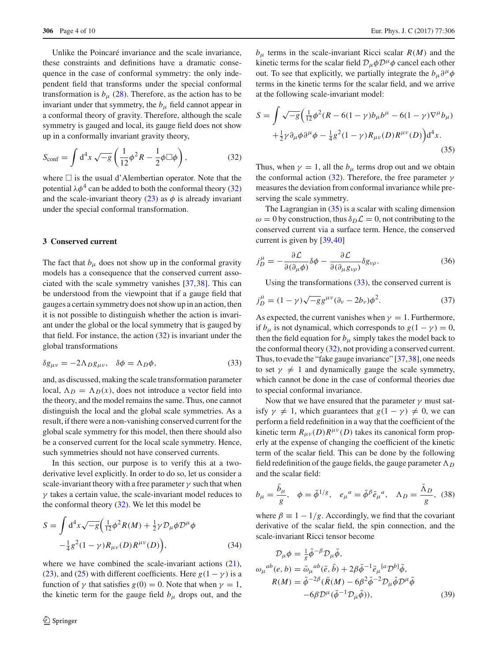Unlike the Poincaré invariance and the scale invariance, these constraints and definitions have a dramatic consequence in the case of conformal symmetry: the only independent field that transforms under the special conformal transformation is  $b_{\mu}$  [\(28\)](#page-2-2). Therefore, as the action has to be invariant under that symmetry, the  $b<sub>\mu</sub>$  field cannot appear in a conformal theory of gravity. Therefore, although the scale symmetry is gauged and local, its gauge field does not show up in a conformally invariant gravity theory,

<span id="page-3-1"></span>
$$
S_{\text{conf}} = \int d^4x \sqrt{-g} \left( \frac{1}{12} \phi^2 R - \frac{1}{2} \phi \Box \phi \right), \tag{32}
$$

where  $\Box$  is the usual d'Alembertian operator. Note that the potential  $\lambda \phi^4$  can be added to both the conformal theory [\(32\)](#page-3-1) and the scale-invariant theory  $(23)$  as  $\phi$  is already invariant under the special conformal transformation.

## <span id="page-3-0"></span>**3 Conserved current**

The fact that  $b_{\mu}$  does not show up in the conformal gravity models has a consequence that the conserved current associated with the scale symmetry vanishes [\[37](#page-9-0)[,38](#page-9-1)]. This can be understood from the viewpoint that if a gauge field that gauges a certain symmetry does not show up in an action, then it is not possible to distinguish whether the action is invariant under the global or the local symmetry that is gauged by that field. For instance, the action  $(32)$  is invariant under the global transformations

<span id="page-3-3"></span>
$$
\delta g_{\mu\nu} = -2\Lambda_D g_{\mu\nu}, \quad \delta \phi = \Lambda_D \phi, \tag{33}
$$

and, as discussed, making the scale transformation parameter local,  $\Lambda_D = \Lambda_D(x)$ , does not introduce a vector field into the theory, and the model remains the same. Thus, one cannot distinguish the local and the global scale symmetries. As a result, if there were a non-vanishing conserved current for the global scale symmetry for this model, then there should also be a conserved current for the local scale symmetry. Hence, such symmetries should not have conserved currents.

In this section, our purpose is to verify this at a twoderivative level explicitly. In order to do so, let us consider a scale-invariant theory with a free parameter  $\gamma$  such that when  $\gamma$  takes a certain value, the scale-invariant model reduces to the conformal theory [\(32\)](#page-3-1). We let this model be

<span id="page-3-4"></span>
$$
S = \int d^{4}x \sqrt{-g} \left( \frac{1}{12} \phi^{2} R(M) + \frac{1}{2} \gamma \mathcal{D}_{\mu} \phi \mathcal{D}^{\mu} \phi \right) - \frac{1}{4} g^{2} (1 - \gamma) R_{\mu\nu}(D) R^{\mu\nu}(D) ,
$$
 (34)

where we have combined the scale-invariant actions [\(21\)](#page-2-4), [\(23\)](#page-2-3), and [\(25\)](#page-2-5) with different coefficients. Here  $g(1 - \gamma)$  is a function of  $\gamma$  that satisfies  $g(0) = 0$ . Note that when  $\gamma = 1$ , the kinetic term for the gauge field  $b<sub>\mu</sub>$  drops out, and the

 $b_{\mu}$  terms in the scale-invariant Ricci scalar  $R(M)$  and the kinetic terms for the scalar field  $\mathcal{D}_{\mu}\phi\mathcal{D}^{\mu}\phi$  cancel each other out. To see that explicitly, we partially integrate the  $b_\mu \partial^\mu \phi$ terms in the kinetic terms for the scalar field, and we arrive at the following scale-invariant model:

<span id="page-3-2"></span>
$$
S = \int \sqrt{-g} \left( \frac{1}{12} \phi^2 (R - 6(1 - \gamma) b_\mu b^\mu - 6(1 - \gamma) \nabla^\mu b_\mu) + \frac{1}{2} \gamma \partial_\mu \phi \partial^\mu \phi - \frac{1}{4} g^2 (1 - \gamma) R_{\mu\nu}(D) R^{\mu\nu}(D) \right) d^4 x.
$$
\n(35)

Thus, when  $\gamma = 1$ , all the  $b_{\mu}$  terms drop out and we obtain the conformal action [\(32\)](#page-3-1). Therefore, the free parameter  $\gamma$ measures the deviation from conformal invariance while preserving the scale symmetry.

The Lagrangian in [\(35\)](#page-3-2) is a scalar with scaling dimension  $\omega = 0$  by construction, thus  $\delta_D \mathcal{L} = 0$ , not contributing to the conserved current via a surface term. Hence, the conserved current is given by [\[39](#page-9-2)[,40](#page-9-3)]

$$
j_D^{\mu} = -\frac{\partial \mathcal{L}}{\partial(\partial_{\mu}\phi)}\delta\phi - \frac{\partial \mathcal{L}}{\partial(\partial_{\mu}g_{\nu\rho})}\delta g_{\nu\rho}.
$$
 (36)

Using the transformations  $(33)$ , the conserved current is

$$
j_D^{\mu} = (1 - \gamma)\sqrt{-g}g^{\mu\nu}(\partial_{\nu} - 2b_{\nu})\phi^2.
$$
 (37)

As expected, the current vanishes when  $\gamma = 1$ . Furthermore, if  $b_{\mu}$  is not dynamical, which corresponds to  $g(1 - \gamma) = 0$ , then the field equation for  $b<sub>μ</sub>$  simply takes the model back to the conformal theory [\(32\)](#page-3-1), not providing a conserved current. Thus, to evade the "fake gauge invariance" [\[37](#page-9-0)[,38](#page-9-1)], one needs to set  $\gamma \neq 1$  and dynamically gauge the scale symmetry, which cannot be done in the case of conformal theories due to special conformal invariance.

Now that we have ensured that the parameter  $\gamma$  must satisfy  $\gamma \neq 1$ , which guarantees that  $g(1 - \gamma) \neq 0$ , we can perform a field redefinition in a way that the coefficient of the kinetic term  $R_{\mu\nu}(D)R^{\mu\nu}(D)$  takes its canonical form properly at the expense of changing the coefficient of the kinetic term of the scalar field. This can be done by the following field redefinition of the gauge fields, the gauge parameter  $\Lambda_D$ and the scalar field:

$$
b_{\mu} = \frac{\bar{b}_{\mu}}{g}, \quad \phi = \bar{\phi}^{1/g}, \quad e_{\mu}{}^{a} = \bar{\phi}^{\beta} \bar{e}_{\mu}{}^{a}, \quad \Lambda_{D} = \frac{\bar{\Lambda}_{D}}{g}, \quad (38)
$$

where  $\beta = 1 - 1/g$ . Accordingly, we find that the covariant derivative of the scalar field, the spin connection, and the scale-invariant Ricci tensor become

$$
\mathcal{D}_{\mu}\phi = \frac{1}{g}\bar{\phi}^{-\beta}\mathcal{D}_{\mu}\bar{\phi},
$$
  
\n
$$
\omega_{\mu}{}^{ab}(e,b) = \bar{\omega}_{\mu}{}^{ab}(\bar{e},\bar{b}) + 2\beta\bar{\phi}^{-1}\bar{e}_{\mu}{}^{[a}\mathcal{D}^{b]}\bar{\phi},
$$
  
\n
$$
R(M) = \bar{\phi}^{-2\beta}(\bar{R}(M) - 6\beta^{2}\bar{\phi}^{-2}\mathcal{D}_{\mu}\bar{\phi}\mathcal{D}^{\mu}\bar{\phi})
$$
  
\n
$$
-6\beta\mathcal{D}^{\mu}(\bar{\phi}^{-1}\mathcal{D}_{\mu}\bar{\phi})),
$$
\n(39)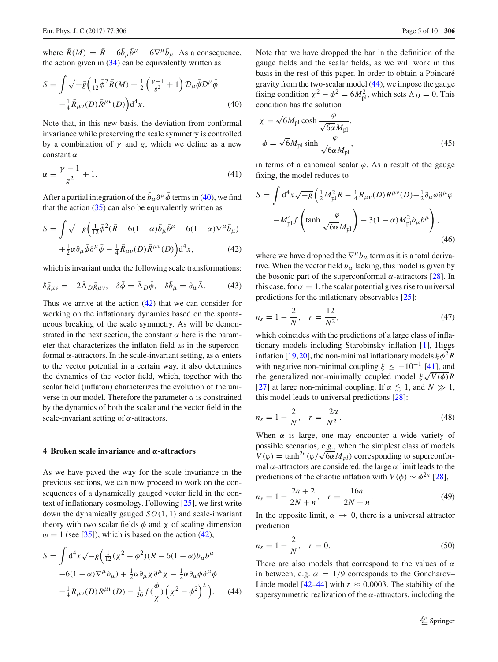where  $\bar{R}(M) = \bar{R} - 6\bar{b}_{\mu}\bar{b}^{\mu} - 6\nabla^{\mu}\bar{b}_{\mu}$ . As a consequence, the action given in  $(34)$  can be equivalently written as

<span id="page-4-1"></span>
$$
S = \int \sqrt{-\bar{g}} \left( \frac{1}{12} \bar{\phi}^2 \bar{R}(M) + \frac{1}{2} \left( \frac{\gamma - 1}{g^2} + 1 \right) \mathcal{D}_{\mu} \bar{\phi} \mathcal{D}^{\mu} \bar{\phi} - \frac{1}{4} \bar{R}_{\mu\nu}(D) \bar{R}^{\mu\nu}(D) \right) d^4 x.
$$
 (40)

Note that, in this new basis, the deviation from conformal invariance while preserving the scale symmetry is controlled by a combination of  $\gamma$  and *g*, which we define as a new constant  $\alpha$ 

$$
\alpha \equiv \frac{\gamma - 1}{g^2} + 1. \tag{41}
$$

After a partial integration of the  $\bar{b}_{\mu}\partial^{\mu}\bar{\phi}$  terms in [\(40\)](#page-4-1), we find that the action  $(35)$  can also be equivalently written as

<span id="page-4-2"></span>
$$
S = \int \sqrt{-\bar{g}} \left( \frac{1}{12} \bar{\phi}^2 (\bar{R} - 6(1 - \alpha) \bar{b}_{\mu} \bar{b}^{\mu} - 6(1 - \alpha) \nabla^{\mu} \bar{b}_{\mu}) + \frac{1}{2} \alpha \partial_{\mu} \bar{\phi} \partial^{\mu} \bar{\phi} - \frac{1}{4} \bar{R}_{\mu\nu}(D) \bar{R}^{\mu\nu}(D) \right) d^4 x, \qquad (42)
$$

which is invariant under the following scale transformations:

$$
\delta \bar{g}_{\mu\nu} = -2\bar{\Lambda}_D \bar{g}_{\mu\nu}, \quad \delta \bar{\phi} = \bar{\Lambda}_D \bar{\phi}, \quad \delta \bar{b}_{\mu} = \partial_{\mu} \bar{\Lambda}.
$$
 (43)

Thus we arrive at the action [\(42\)](#page-4-2) that we can consider for working on the inflationary dynamics based on the spontaneous breaking of the scale symmetry. As will be demonstrated in the next section, the constant  $\alpha$  here is the parameter that characterizes the inflaton field as in the superconformal  $\alpha$ -attractors. In the scale-invariant setting, as  $\alpha$  enters to the vector potential in a certain way, it also determines the dynamics of the vector field, which, together with the scalar field (inflaton) characterizes the evolution of the universe in our model. Therefore the parameter  $\alpha$  is constrained by the dynamics of both the scalar and the vector field in the scale-invariant setting of  $\alpha$ -attractors.

#### <span id="page-4-0"></span>**4 Broken scale invariance and** *α***-attractors**

As we have paved the way for the scale invariance in the previous sections, we can now proceed to work on the consequences of a dynamically gauged vector field in the context of inflationary cosmology. Following [\[25\]](#page-8-8), we first write down the dynamically gauged *SO*(1, 1) and scale-invariant theory with two scalar fields  $\phi$  and  $\chi$  of scaling dimension  $\omega = 1$  (see [\[35](#page-8-14)]), which is based on the action [\(42\)](#page-4-2),

<span id="page-4-3"></span>
$$
S = \int d^4x \sqrt{-g} \left( \frac{1}{12} (\chi^2 - \phi^2)(R - 6(1 - \alpha)b_\mu b^\mu -6(1 - \alpha)\nabla^\mu b_\mu \right) + \frac{1}{2} \alpha \partial_\mu \chi \partial^\mu \chi - \frac{1}{2} \alpha \partial_\mu \phi \partial^\mu \phi - \frac{1}{4} R_{\mu\nu}(D) R^{\mu\nu}(D) - \frac{1}{36} f \left( \frac{\phi}{\chi} \right) \left( \chi^2 - \phi^2 \right)^2 \right). \tag{44}
$$

Note that we have dropped the bar in the definition of the gauge fields and the scalar fields, as we will work in this basis in the rest of this paper. In order to obtain a Poincaré gravity from the two-scalar model [\(44\)](#page-4-3), we impose the gauge fixing condition  $\chi^2 - \phi^2 = 6M_{\text{pl}}^2$ , which sets  $\Lambda_D = 0$ . This condition has the solution

$$
\chi = \sqrt{6}M_{\rm pl} \cosh \frac{\varphi}{\sqrt{6\alpha}M_{\rm pl}},
$$
  

$$
\phi = \sqrt{6}M_{\rm pl} \sinh \frac{\varphi}{\sqrt{6\alpha}M_{\rm pl}},
$$
(45)

in terms of a canonical scalar  $\varphi$ . As a result of the gauge fixing, the model reduces to

$$
S = \int d^4x \sqrt{-g} \left( \frac{1}{2} M_{\rm pl}^2 R - \frac{1}{4} R_{\mu\nu}(D) R^{\mu\nu}(D) - \frac{1}{2} \partial_\mu \varphi \partial^\mu \varphi \right)
$$

$$
-M_{\rm pl}^4 f \left( \tanh \frac{\varphi}{\sqrt{6\alpha} M_{\rm pl}} \right) - 3(1 - \alpha) M_{\rm pl}^2 b_\mu b^\mu \right), \tag{46}
$$

where we have dropped the  $\nabla^{\mu}b_{\mu}$  term as it is a total derivative. When the vector field  $b_\mu$  lacking, this model is given by the bosonic part of the superconformal  $\alpha$ -attractors [\[28](#page-8-9)]. In this case, for  $\alpha = 1$ , the scalar potential gives rise to universal predictions for the inflationary observables [\[25\]](#page-8-8):

$$
n_s = 1 - \frac{2}{N}, \quad r = \frac{12}{N^2}, \tag{47}
$$

which coincides with the predictions of a large class of inflationary models including Starobinsky inflation [\[1\]](#page-8-0), Higgs inflation [\[19](#page-8-5),[20\]](#page-8-16), the non-minimal inflationary models  $\xi \phi^2 R$ with negative non-minimal coupling  $\xi \leq -10^{-1}$  [\[41\]](#page-9-4), and the generalized non-minimally coupled model  $\xi \sqrt{V(\phi)}R$ [\[27](#page-8-17)] at large non-minimal coupling. If  $\alpha \lesssim 1$ , and  $N \gg 1$ , this model leads to universal predictions [\[28](#page-8-9)]:

<span id="page-4-4"></span>
$$
n_s = 1 - \frac{2}{N}, \quad r = \frac{12\alpha}{N^2}.
$$
\n
$$
(48)
$$

When  $\alpha$  is large, one may encounter a wide variety of possible scenarios, e.g., when the simplest class of models  $V(\varphi) = \tanh^{2n}(\varphi/\sqrt{6\alpha}M_{pl})$  corresponding to superconformal  $\alpha$ -attractors are considered, the large  $\alpha$  limit leads to the predictions of the chaotic inflation with  $V(\phi) \sim \phi^{2n}$  [\[28\]](#page-8-9),

$$
n_s = 1 - \frac{2n + 2}{2N + n}, \quad r = \frac{16n}{2N + n}.
$$
 (49)

In the opposite limit,  $\alpha \rightarrow 0$ , there is a universal attractor prediction

$$
n_s = 1 - \frac{2}{N}, \quad r = 0.
$$
\n(50)

There are also models that correspond to the values of  $\alpha$ in between, e.g.  $\alpha = 1/9$  corresponds to the Goncharov– Linde model  $[42-44]$  $[42-44]$  with  $r \approx 0.0003$ . The stability of the supersymmetric realization of the  $\alpha$ -attractors, including the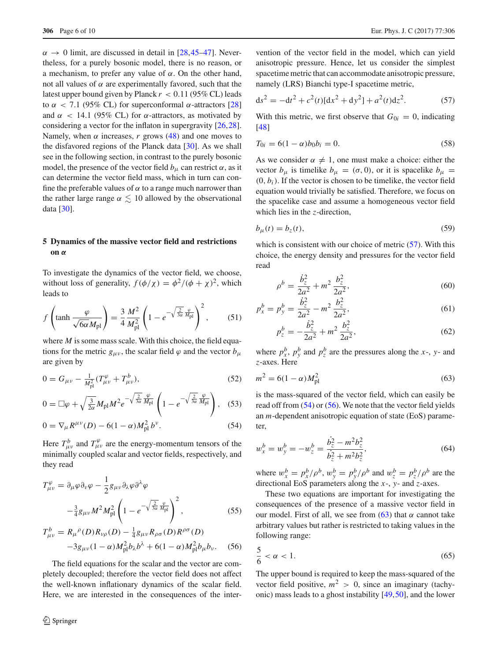$\alpha \rightarrow 0$  limit, are discussed in detail in [\[28](#page-8-9)[,45](#page-9-7)[–47](#page-9-8)]. Nevertheless, for a purely bosonic model, there is no reason, or a mechanism, to prefer any value of  $\alpha$ . On the other hand, not all values of  $α$  are experimentally favored, such that the latest upper bound given by Planck  $r < 0.11$  (95% CL) leads to  $\alpha$  < 7.1 (95% CL) for superconformal α-attractors [\[28\]](#page-8-9) and  $\alpha$  < 14.1 (95% CL) for  $\alpha$ -attractors, as motivated by considering a vector for the inflaton in supergravity [\[26](#page-8-18)[,28](#page-8-9)]. Namely, when  $\alpha$  increases,  $r$  grows [\(48\)](#page-4-4) and one moves to the disfavored regions of the Planck data [\[30\]](#page-8-7). As we shall see in the following section, in contrast to the purely bosonic model, the presence of the vector field  $b_\mu$  can restrict  $\alpha$ , as it can determine the vector field mass, which in turn can confine the preferable values of  $\alpha$  to a range much narrower than the rather large range  $\alpha \lesssim 10$  allowed by the observational data [\[30](#page-8-7)].

# <span id="page-5-0"></span>**5 Dynamics of the massive vector field and restrictions on** *α*

To investigate the dynamics of the vector field, we choose, without loss of generality,  $f(\phi/\chi) = \phi^2/(\phi + \chi)^2$ , which leads to

$$
f\left(\tanh\frac{\varphi}{\sqrt{6\alpha}M_{\rm pl}}\right) = \frac{3}{4}\frac{M^2}{M_{\rm pl}^2}\left(1 - e^{-\sqrt{\frac{2}{3\alpha}}\frac{\varphi}{M_{\rm pl}}}\right)^2,\tag{51}
$$

where *M* is some mass scale. With this choice, the field equations for the metric  $g_{\mu\nu}$ , the scalar field  $\varphi$  and the vector  $b_{\mu}$ are given by

<span id="page-5-2"></span>
$$
0 = G_{\mu\nu} - \frac{1}{M_{\text{pl}}^2} (T_{\mu\nu}^{\varphi} + T_{\mu\nu}^b), \tag{52}
$$

$$
0 = \Box \varphi + \sqrt{\frac{3}{2\alpha}} M_{\rm pl} M^2 e^{-\sqrt{\frac{2}{3\alpha}} \frac{\varphi}{M_{\rm pl}}} \left( 1 - e^{-\sqrt{\frac{2}{3\alpha}} \frac{\varphi}{M_{\rm pl}}} \right), \quad (53)
$$

$$
0 = \nabla_{\mu} R^{\mu \nu}(D) - 6(1 - \alpha) M_{\text{pl}}^2 b^{\nu}.
$$
 (54)

Here  $T^b_{\mu\nu}$  and  $T^{\varphi}_{\mu\nu}$  are the energy-momentum tensors of the minimally coupled scalar and vector fields, respectively, and they read

<span id="page-5-3"></span>
$$
T^{\varphi}_{\mu\nu} = \partial_{\mu}\varphi \partial_{\nu}\varphi - \frac{1}{2}g_{\mu\nu}\partial_{\lambda}\varphi \partial^{\lambda}\varphi
$$

$$
-\frac{3}{4}g_{\mu\nu}M^{2}M_{\rm pl}^{2}\left(1 - e^{-\sqrt{\frac{2}{3\alpha}}\frac{\varphi}{M_{\rm pl}}}\right)^{2}, \qquad (55)
$$

$$
T_{\mu\nu}^{b} = R_{\mu}{}^{\rho}(D)R_{\nu\rho}(D) - \frac{1}{4}g_{\mu\nu}R_{\rho\sigma}(D)R^{\rho\sigma}(D) -3g_{\mu\nu}(1-\alpha)M_{\rm pl}^{2}b_{\lambda}b^{\lambda} + 6(1-\alpha)M_{\rm pl}^{2}b_{\mu}b_{\nu}.
$$
 (56)

The field equations for the scalar and the vector are completely decoupled; therefore the vector field does not affect the well-known inflationary dynamics of the scalar field. Here, we are interested in the consequences of the inter-

vention of the vector field in the model, which can yield anisotropic pressure. Hence, let us consider the simplest spacetime metric that can accommodate anisotropic pressure, namely (LRS) Bianchi type-I spacetime metric,

<span id="page-5-1"></span>
$$
ds^{2} = -dt^{2} + c^{2}(t)[dx^{2} + dy^{2}] + a^{2}(t)dz^{2}.
$$
 (57)

With this metric, we first observe that  $G_{0i} = 0$ , indicating [\[48](#page-9-9)]

$$
T_{0i} = 6(1 - \alpha)b_0b_i = 0.
$$
\n(58)

As we consider  $\alpha \neq 1$ , one must make a choice: either the vector  $b_{\mu}$  is timelike  $b_{\mu} = (\sigma, 0)$ , or it is spacelike  $b_{\mu} =$  $(0, b<sub>i</sub>)$ . If the vector is chosen to be timelike, the vector field equation would trivially be satisfied. Therefore, we focus on the spacelike case and assume a homogeneous vector field which lies in the *z*-direction,

$$
b_{\mu}(t) = b_{z}(t),\tag{59}
$$

which is consistent with our choice of metric [\(57\)](#page-5-1). With this choice, the energy density and pressures for the vector field read

$$
\rho^b = \frac{\dot{b}_z^2}{2a^2} + m^2 \frac{b_z^2}{2a^2},\tag{60}
$$

$$
p_x^b = p_y^b = \frac{\dot{b}_z^2}{2a^2} - m^2 \frac{b_z^2}{2a^2},\tag{61}
$$

$$
p_z^b = -\frac{\dot{b}_z^2}{2a^2} + m^2 \frac{b_z^2}{2a^2},\tag{62}
$$

where  $p_x^b$ ,  $p_y^b$  and  $p_z^b$  are the pressures along the *x*-, *y*- and *z*-axes. Here

<span id="page-5-4"></span>
$$
m^2 = 6(1 - \alpha)M_{\rm pl}^2
$$
\n(63)

is the mass-squared of the vector field, which can easily be read off from [\(54\)](#page-5-2) or [\(56\)](#page-5-3). We note that the vector field yields an *m*-dependent anisotropic equation of state (EoS) parameter,

$$
w_x^b = w_y^b = -w_z^b = \frac{b_z^2 - m^2 b_z^2}{b_z^2 + m^2 b_z^2},
$$
 (64)

where  $w_x^b = p_x^b / \rho^b$ ,  $w_y^b = p_y^b / \rho^b$  and  $w_z^b = p_z^b / \rho^b$  are the directional EoS parameters along the *x*-, *y*- and *z*-axes.

These two equations are important for investigating the consequences of the presence of a massive vector field in our model. First of all, we see from  $(63)$  that  $\alpha$  cannot take arbitrary values but rather is restricted to taking values in the following range:

$$
\frac{5}{6} < \alpha < 1. \tag{65}
$$

The upper bound is required to keep the mass-squared of the vector field positive,  $m^2 > 0$ , since an imaginary (tachyonic) mass leads to a ghost instability [\[49,](#page-9-10)[50\]](#page-9-11), and the lower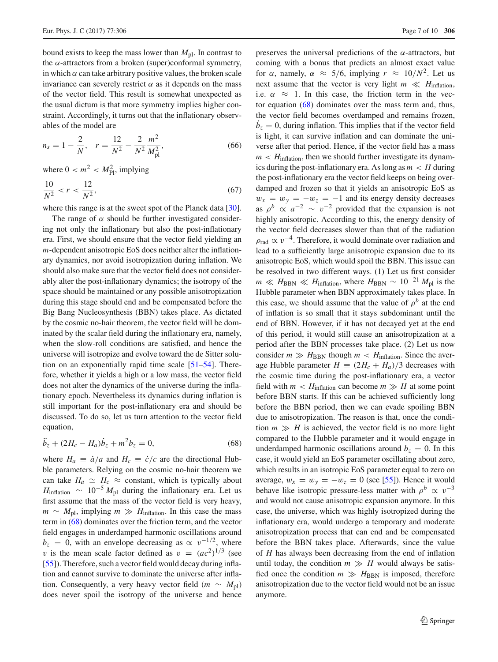bound exists to keep the mass lower than  $M_{\text{pl}}$ . In contrast to the  $\alpha$ -attractors from a broken (super)conformal symmetry, in which  $\alpha$  can take arbitrary positive values, the broken scale invariance can severely restrict  $\alpha$  as it depends on the mass of the vector field. This result is somewhat unexpected as the usual dictum is that more symmetry implies higher constraint. Accordingly, it turns out that the inflationary observables of the model are

$$
n_s = 1 - \frac{2}{N}, \quad r = \frac{12}{N^2} - \frac{2}{N^2} \frac{m^2}{M_{\text{pl}}^2},\tag{66}
$$

where  $0 < m^2 < M_{\text{Pl}}^2$ , implying

$$
\frac{10}{N^2} < r < \frac{12}{N^2},\tag{67}
$$

where this range is at the sweet spot of the Planck data [\[30](#page-8-7)].

The range of  $\alpha$  should be further investigated considering not only the inflationary but also the post-inflationary era. First, we should ensure that the vector field yielding an *m*-dependent anisotropic EoS does neither alter the inflationary dynamics, nor avoid isotropization during inflation. We should also make sure that the vector field does not considerably alter the post-inflationary dynamics; the isotropy of the space should be maintained or any possible anisotropization during this stage should end and be compensated before the Big Bang Nucleosynthesis (BBN) takes place. As dictated by the cosmic no-hair theorem, the vector field will be dominated by the scalar field during the inflationary era, namely, when the slow-roll conditions are satisfied, and hence the universe will isotropize and evolve toward the de Sitter solution on an exponentially rapid time scale [\[51](#page-9-12)[–54\]](#page-9-13). Therefore, whether it yields a high or a low mass, the vector field does not alter the dynamics of the universe during the inflationary epoch. Nevertheless its dynamics during inflation is still important for the post-inflationary era and should be discussed. To do so, let us turn attention to the vector field equation,

<span id="page-6-0"></span>
$$
\ddot{b}_z + (2H_c - H_a)\dot{b}_z + m^2 b_z = 0, \tag{68}
$$

where  $H_a \equiv \dot{a}/a$  and  $H_c \equiv \dot{c}/c$  are the directional Hubble parameters. Relying on the cosmic no-hair theorem we can take  $H_a \simeq H_c \approx$  constant, which is typically about  $H_{\text{inflation}} \sim 10^{-5} M_{\text{pl}}$  during the inflationary era. Let us first assume that the mass of the vector field is very heavy,  $m \sim M_{\text{pl}}$ , implying  $m \gg H_{\text{inflation}}$ . In this case the mass term in [\(68\)](#page-6-0) dominates over the friction term, and the vector field engages in underdamped harmonic oscillations around  $b_z = 0$ , with an envelope decreasing as  $\propto v^{-1/2}$ , where v is the mean scale factor defined as  $v = (ac^2)^{1/3}$  (see [\[55](#page-9-14)]). Therefore, such a vector field would decay during inflation and cannot survive to dominate the universe after inflation. Consequently, a very heavy vector field ( $m \sim M_{pl}$ ) does never spoil the isotropy of the universe and hence

preserves the universal predictions of the  $\alpha$ -attractors, but coming with a bonus that predicts an almost exact value for  $\alpha$ , namely,  $\alpha \approx 5/6$ , implying  $r \approx 10/N^2$ . Let us next assume that the vector is very light  $m \ll H$ <sub>inflation</sub>, i.e.  $\alpha \approx 1$ . In this case, the friction term in the vector equation [\(68\)](#page-6-0) dominates over the mass term and, thus, the vector field becomes overdamped and remains frozen,  $b<sub>z</sub> = 0$ , during inflation. This implies that if the vector field is light, it can survive inflation and can dominate the universe after that period. Hence, if the vector field has a mass  $m < H$ <sub>inflation,</sub> then we should further investigate its dynamics during the post-inflationary era. As long as *m* < *H* during the post-inflationary era the vector field keeps on being overdamped and frozen so that it yields an anisotropic EoS as  $w_x = w_y = -w_z = -1$  and its energy density decreases as  $\rho^b \propto a^{-2} \sim v^{-2}$  provided that the expansion is not highly anisotropic. According to this, the energy density of the vector field decreases slower than that of the radiation  $\rho_{rad} \propto v^{-4}$ . Therefore, it would dominate over radiation and lead to a sufficiently large anisotropic expansion due to its anisotropic EoS, which would spoil the BBN. This issue can be resolved in two different ways. (1) Let us first consider  $m \ll H_{\text{BBN}} \ll H_{\text{inflation}}$ , where  $H_{\text{BBN}} \sim 10^{-21} M_{\text{pl}}$  is the Hubble parameter when BBN approximately takes place. In this case, we should assume that the value of  $\rho^b$  at the end of inflation is so small that it stays subdominant until the end of BBN. However, if it has not decayed yet at the end of this period, it would still cause an anisotropization at a period after the BBN processes take place. (2) Let us now consider  $m \gg H_{\text{BBN}}$  though  $m < H_{\text{inflation}}$ . Since the average Hubble parameter  $H = (2H_c + H_a)/3$  decreases with the cosmic time during the post-inflationary era, a vector field with  $m < H$ <sub>inflation</sub> can become  $m \gg H$  at some point before BBN starts. If this can be achieved sufficiently long before the BBN period, then we can evade spoiling BBN due to anisotropization. The reason is that, once the condition  $m \gg H$  is achieved, the vector field is no more light compared to the Hubble parameter and it would engage in underdamped harmonic oscillations around  $b_7 = 0$ . In this case, it would yield an EoS parameter oscillating about zero, which results in an isotropic EoS parameter equal to zero on average,  $w_x = w_y = -w_z = 0$  (see [\[55](#page-9-14)]). Hence it would behave like isotropic pressure-less matter with  $\rho^b \propto v^{-3}$ and would not cause anisotropic expansion anymore. In this case, the universe, which was highly isotropized during the inflationary era, would undergo a temporary and moderate anisotropization process that can end and be compensated before the BBN takes place. Afterwards, since the value of *H* has always been decreasing from the end of inflation until today, the condition  $m \gg H$  would always be satisfied once the condition  $m \gg H_{\text{BBN}}$  is imposed, therefore anisotropization due to the vector field would not be an issue anymore.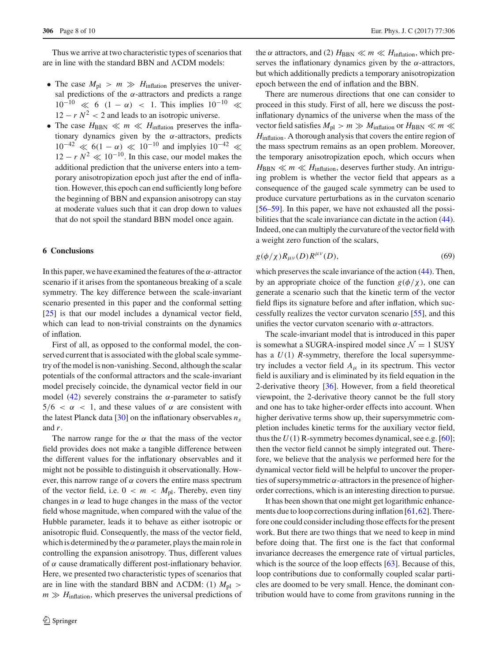Thus we arrive at two characteristic types of scenarios that are in line with the standard BBN and ACDM models:

- The case  $M_{\text{pl}} > m \gg H_{\text{inflation}}$  preserves the universal predictions of the  $\alpha$ -attractors and predicts a range  $10^{-10} \ll 6$   $(1 - \alpha) < 1$ . This implies  $10^{-10} \ll$  $12 - r N^2 < 2$  and leads to an isotropic universe.
- The case  $H_{\text{BBN}} \ll m \ll H_{\text{inflation}}$  preserves the inflationary dynamics given by the  $\alpha$ -attractors, predicts  $10^{-42} \ll 6(1 - \alpha) \ll 10^{-10}$  and implyies  $10^{-42} \ll$  $12 - r N^2 \ll 10^{-10}$ . In this case, our model makes the additional prediction that the universe enters into a temporary anisotropization epoch just after the end of inflation. However, this epoch can end sufficiently long before the beginning of BBN and expansion anisotropy can stay at moderate values such that it can drop down to values that do not spoil the standard BBN model once again.

# <span id="page-7-0"></span>**6 Conclusions**

In this paper, we have examined the features of the  $\alpha$ -attractor scenario if it arises from the spontaneous breaking of a scale symmetry. The key difference between the scale-invariant scenario presented in this paper and the conformal setting [\[25](#page-8-8)] is that our model includes a dynamical vector field, which can lead to non-trivial constraints on the dynamics of inflation.

First of all, as opposed to the conformal model, the conserved current that is associated with the global scale symmetry of the model is non-vanishing. Second, although the scalar potentials of the conformal attractors and the scale-invariant model precisely coincide, the dynamical vector field in our model [\(42\)](#page-4-2) severely constrains the  $\alpha$ -parameter to satisfy  $5/6 < \alpha < 1$ , and these values of  $\alpha$  are consistent with the latest Planck data  $[30]$  $[30]$  on the inflationary observables  $n<sub>s</sub>$ and *r*.

The narrow range for the  $\alpha$  that the mass of the vector field provides does not make a tangible difference between the different values for the inflationary observables and it might not be possible to distinguish it observationally. However, this narrow range of  $\alpha$  covers the entire mass spectrum of the vector field, i.e.  $0 < m < M_{\text{pl}}$ . Thereby, even tiny changes in  $\alpha$  lead to huge changes in the mass of the vector field whose magnitude, when compared with the value of the Hubble parameter, leads it to behave as either isotropic or anisotropic fluid. Consequently, the mass of the vector field, which is determined by the  $\alpha$  parameter, plays the main role in controlling the expansion anisotropy. Thus, different values of α cause dramatically different post-inflationary behavior. Here, we presented two characteristic types of scenarios that are in line with the standard BBN and  $\Lambda$ CDM: (1)  $M_{\text{pl}} >$  $m \gg H_{\text{inflation}}$ , which preserves the universal predictions of the  $\alpha$  attractors, and (2)  $H_{\text{BBN}} \ll m \ll H_{\text{inflation}}$ , which preserves the inflationary dynamics given by the  $\alpha$ -attractors, but which additionally predicts a temporary anisotropization epoch between the end of inflation and the BBN.

There are numerous directions that one can consider to proceed in this study. First of all, here we discuss the postinflationary dynamics of the universe when the mass of the vector field satisfies  $M_{\text{pl}} > m \gg M_{\text{inflation}}$  or  $H_{\text{BBN}} \ll m \ll m$ *H*inflation. A thorough analysis that covers the entire region of the mass spectrum remains as an open problem. Moreover, the temporary anisotropization epoch, which occurs when  $H_{\text{BBN}} \ll m \ll H_{\text{inflation}}$ , deserves further study. An intriguing problem is whether the vector field that appears as a consequence of the gauged scale symmetry can be used to produce curvature perturbations as in the curvaton scenario [\[56](#page-9-15)[–59](#page-9-16)]. In this paper, we have not exhausted all the possibilities that the scale invariance can dictate in the action [\(44\)](#page-4-3). Indeed, one can multiply the curvature of the vector field with a weight zero function of the scalars,

$$
g(\phi/\chi)R_{\mu\nu}(D)R^{\mu\nu}(D),\tag{69}
$$

which preserves the scale invariance of the action [\(44\)](#page-4-3). Then, by an appropriate choice of the function  $g(\phi/\chi)$ , one can generate a scenario such that the kinetic term of the vector field flips its signature before and after inflation, which successfully realizes the vector curvaton scenario [\[55\]](#page-9-14), and this unifies the vector curvaton scenario with  $\alpha$ -attractors.

The scale-invariant model that is introduced in this paper is somewhat a SUGRA-inspired model since  $\mathcal{N} = 1$  SUSY has a  $U(1)$  *R*-symmetry, therefore the local supersymmetry includes a vector field  $A_{\mu}$  in its spectrum. This vector field is auxiliary and is eliminated by its field equation in the 2-derivative theory [\[36](#page-8-15)]. However, from a field theoretical viewpoint, the 2-derivative theory cannot be the full story and one has to take higher-order effects into account. When higher derivative terms show up, their supersymmetric completion includes kinetic terms for the auxiliary vector field, thus the  $U(1)$  R-symmetry becomes dynamical, see e.g.  $[60]$  $[60]$ ; then the vector field cannot be simply integrated out. Therefore, we believe that the analysis we performed here for the dynamical vector field will be helpful to uncover the properties of supersymmetric  $\alpha$ -attractors in the presence of higherorder corrections, which is an interesting direction to pursue.

It has been shown that one might get logarithmic enhancements due to loop corrections during inflation [\[61](#page-9-18)[,62](#page-9-19)]. Therefore one could consider including those effects for the present work. But there are two things that we need to keep in mind before doing that. The first one is the fact that conformal invariance decreases the emergence rate of virtual particles, which is the source of the loop effects [\[63\]](#page-9-20). Because of this, loop contributions due to conformally coupled scalar particles are doomed to be very small. Hence, the dominant contribution would have to come from gravitons running in the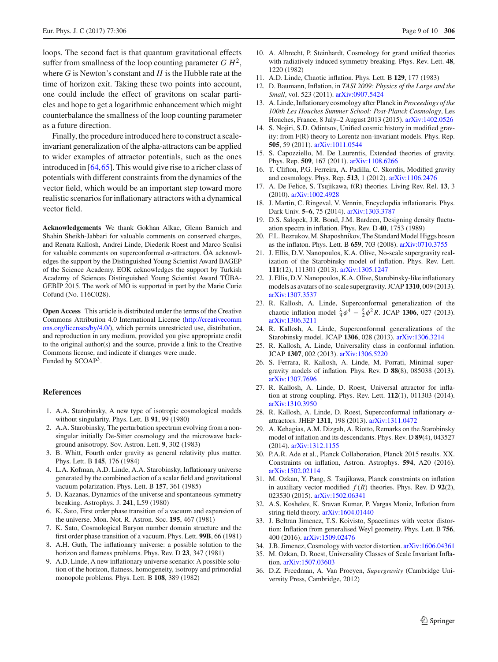loops. The second fact is that quantum gravitational effects suffer from smallness of the loop counting parameter  $G H<sup>2</sup>$ , where *G* is Newton's constant and *H* is the Hubble rate at the time of horizon exit. Taking these two points into account, one could include the effect of gravitons on scalar particles and hope to get a logarithmic enhancement which might counterbalance the smallness of the loop counting parameter as a future direction.

Finally, the procedure introduced here to construct a scaleinvariant generalization of the alpha-attractors can be applied to wider examples of attractor potentials, such as the ones introduced in [\[64](#page-9-21)[,65](#page-9-22)]. This would give rise to a richer class of potentials with different constraints from the dynamics of the vector field, which would be an important step toward more realistic scenarios for inflationary attractors with a dynamical vector field.

**Acknowledgements** We thank Gokhan Alkac, Glenn Barnich and Shahin Sheikh-Jabbari for valuable comments on conserved charges, and Renata Kallosh, Andrei Linde, Diederik Roest and Marco Scalisi for valuable comments on superconformal α-attractors. ÖA acknowledges the support by the Distinguished Young Scientist Award BAGEP of the Science Academy. EOK acknowledges the support by Turkish Academy of Sciences Distinguished Young Scientist Award TÜBA-GEBİP 2015. The work of MO is supported in part by the Marie Curie Cofund (No. 116C028).

**Open Access** This article is distributed under the terms of the Creative Commons Attribution 4.0 International License [\(http://creativecomm](http://creativecommons.org/licenses/by/4.0/) [ons.org/licenses/by/4.0/\)](http://creativecommons.org/licenses/by/4.0/), which permits unrestricted use, distribution, and reproduction in any medium, provided you give appropriate credit to the original author(s) and the source, provide a link to the Creative Commons license, and indicate if changes were made. Funded by SCOAP3.

#### **References**

- <span id="page-8-0"></span>1. A.A. Starobinsky, A new type of isotropic cosmological models without singularity. Phys. Lett. B **91**, 99 (1980)
- 2. A.A. Starobinsky, The perturbation spectrum evolving from a nonsingular initially De-Sitter cosmology and the microwave background anisotropy. Sov. Astron. Lett. **9**, 302 (1983)
- 3. B. Whitt, Fourth order gravity as general relativity plus matter. Phys. Lett. B **145**, 176 (1984)
- 4. L.A. Kofman, A.D. Linde, A.A. Starobinsky, Inflationary universe generated by the combined action of a scalar field and gravitational vacuum polarization. Phys. Lett. B **157**, 361 (1985)
- 5. D. Kazanas, Dynamics of the universe and spontaneous symmetry breaking. Astrophys. J. **241**, L59 (1980)
- 6. K. Sato, First order phase transition of a vacuum and expansion of the universe. Mon. Not. R. Astron. Soc. **195**, 467 (1981)
- 7. K. Sato, Cosmological Baryon number domain structure and the first order phase transition of a vacuum. Phys. Lett. **99B**, 66 (1981)
- 8. A.H. Guth, The inflationary universe: a possible solution to the horizon and flatness problems. Phys. Rev. D **23**, 347 (1981)
- 9. A.D. Linde, A new inflationary universe scenario: A possible solution of the horizon, flatness, homogeneity, isotropy and primordial monopole problems. Phys. Lett. B **108**, 389 (1982)
- 10. A. Albrecht, P. Steinhardt, Cosmology for grand unified theories with radiatively induced symmetry breaking. Phys. Rev. Lett. **48**, 1220 (1982)
- <span id="page-8-1"></span>11. A.D. Linde, Chaotic inflation. Phys. Lett. B **129**, 177 (1983)
- <span id="page-8-2"></span>12. D. Baumann, Inflation, in *TASI 2009: Physics of the Large and the Small*, vol. 523 (2011). [arXiv:0907.5424](http://arxiv.org/abs/0907.5424)
- 13. A. Linde, Inflationary cosmology after Planck in *Proceedings of the 100th Les Houches Summer School: Post-Planck Cosmology*, Les Houches, France, 8 July–2 August 2013 (2015). [arXiv:1402.0526](http://arxiv.org/abs/1402.0526)
- 14. S. Nojiri, S.D. Odintsov, Unified cosmic history in modified gravity: from F(R) theory to Lorentz non-invariant models. Phys. Rep. **505**, 59 (2011). [arXiv:1011.0544](http://arxiv.org/abs/1011.0544)
- 15. S. Capozziello, M. De Laurentis, Extended theories of gravity. Phys. Rep. **509**, 167 (2011). [arXiv:1108.6266](http://arxiv.org/abs/1108.6266)
- 16. T. Clifton, P.G. Ferreira, A. Padilla, C. Skordis, Modified gravity and cosmology. Phys. Rep. **513**, 1 (2012). [arXiv:1106.2476](http://arxiv.org/abs/1106.2476)
- <span id="page-8-3"></span>17. A. De Felice, S. Tsujikawa, f(R) theories. Living Rev. Rel. **13**, 3 (2010). [arXiv:1002.4928](http://arxiv.org/abs/1002.4928)
- <span id="page-8-4"></span>18. J. Martin, C. Ringeval, V. Vennin, Encyclopdia inflationaris. Phys. Dark Univ. **5–6**, 75 (2014). [arXiv:1303.3787](http://arxiv.org/abs/1303.3787)
- <span id="page-8-5"></span>19. D.S. Salopek, J.R. Bond, J.M. Bardeen, Designing density fluctuation spectra in inflation. Phys. Rev. D **40**, 1753 (1989)
- <span id="page-8-16"></span>20. F.L. Bezrukov, M. Shaposhnikov, The Standard Model Higgs boson as the inflaton. Phys. Lett. B **659**, 703 (2008). [arXiv:0710.3755](http://arxiv.org/abs/0710.3755)
- 21. J. Ellis, D.V. Nanopoulos, K.A. Olive, No-scale supergravity realization of the Starobinsky model of inflation. Phys. Rev. Lett. **111**(12), 111301 (2013). [arXiv:1305.1247](http://arxiv.org/abs/1305.1247)
- 22. J. Ellis, D.V. Nanopoulos, K.A. Olive, Starobinsky-like inflationary models as avatars of no-scale supergravity. JCAP **1310**, 009 (2013). [arXiv:1307.3537](http://arxiv.org/abs/1307.3537)
- 23. R. Kallosh, A. Linde, Superconformal generalization of the chaotic inflation model  $\frac{\lambda}{4}\phi^4 - \frac{\xi}{2}\phi^2 R$ . JCAP **1306**, 027 (2013). [arXiv:1306.3211](http://arxiv.org/abs/1306.3211)
- 24. R. Kallosh, A. Linde, Superconformal generalizations of the Starobinsky model. JCAP **1306**, 028 (2013). [arXiv:1306.3214](http://arxiv.org/abs/1306.3214)
- <span id="page-8-8"></span>25. R. Kallosh, A. Linde, Universality class in conformal inflation. JCAP **1307**, 002 (2013). [arXiv:1306.5220](http://arxiv.org/abs/1306.5220)
- <span id="page-8-18"></span>26. S. Ferrara, R. Kallosh, A. Linde, M. Porrati, Minimal supergravity models of inflation. Phys. Rev. D **88**(8), 085038 (2013). [arXiv:1307.7696](http://arxiv.org/abs/1307.7696)
- <span id="page-8-17"></span>27. R. Kallosh, A. Linde, D. Roest, Universal attractor for inflation at strong coupling. Phys. Rev. Lett. **112**(1), 011303 (2014). [arXiv:1310.3950](http://arxiv.org/abs/1310.3950)
- <span id="page-8-9"></span>28. R. Kallosh, A. Linde, D. Roest, Superconformal inflationary  $\alpha$ attractors. JHEP **1311**, 198 (2013). [arXiv:1311.0472](http://arxiv.org/abs/1311.0472)
- <span id="page-8-6"></span>29. A. Kehagias, A.M. Dizgah, A. Riotto, Remarks on the Starobinsky model of inflation and its descendants. Phys. Rev. D **89**(4), 043527 (2014). [arXiv:1312.1155](http://arxiv.org/abs/1312.1155)
- <span id="page-8-7"></span>30. P.A.R. Ade et al., Planck Collaboration, Planck 2015 results. XX. Constraints on inflation, Astron. Astrophys. **594**, A20 (2016). [arXiv:1502.02114](http://arxiv.org/abs/1502.02114)
- <span id="page-8-10"></span>31. M. Ozkan, Y. Pang, S. Tsujikawa, Planck constraints on inflation in auxiliary vector modified *f* (*R*) theories. Phys. Rev. D **92**(2), 023530 (2015). [arXiv:1502.06341](http://arxiv.org/abs/1502.06341)
- <span id="page-8-11"></span>32. A.S. Koshelev, K. Sravan Kumar, P. Vargas Moniz, Inflation from string field theory. [arXiv:1604.01440](http://arxiv.org/abs/1604.01440)
- <span id="page-8-12"></span>33. J. Beltran Jimenez, T.S. Koivisto, Spacetimes with vector distortion: Inflation from generalised Weyl geometry. Phys. Lett. B **756**, 400 (2016). [arXiv:1509.02476](http://arxiv.org/abs/1509.02476)
- <span id="page-8-13"></span>34. J.B. Jimenez, Cosmology with vector distortion. [arXiv:1606.04361](http://arxiv.org/abs/1606.04361)
- <span id="page-8-14"></span>35. M. Ozkan, D. Roest, Universality Classes of Scale Invariant Inflation. [arXiv:1507.03603](http://arxiv.org/abs/1507.03603)
- <span id="page-8-15"></span>36. D.Z. Freedman, A. Van Proeyen, *Supergravity* (Cambridge University Press, Cambridge, 2012)